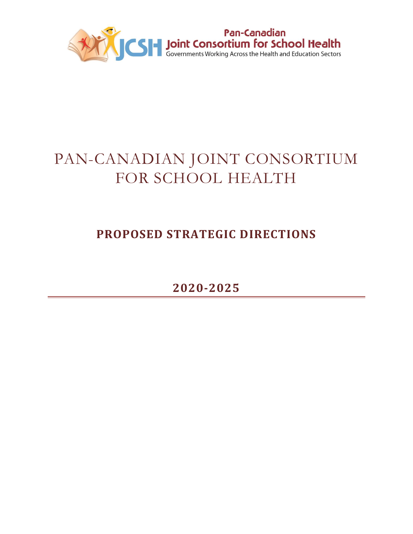

# PAN-CANADIAN JOINT CONSORTIUM FOR SCHOOL HEALTH

## **PROPOSED STRATEGIC DIRECTIONS**

**2020-2025**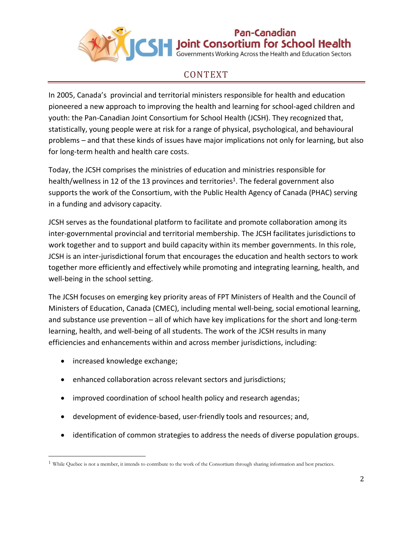

Pan-Canadian S | Joint Consortium for School Health

#### CONTEXT

In 2005, Canada's provincial and territorial ministers responsible for health and education pioneered a new approach to improving the health and learning for school-aged children and youth: the Pan-Canadian Joint Consortium for School Health (JCSH). They recognized that, statistically, young people were at risk for a range of physical, psychological, and behavioural problems – and that these kinds of issues have major implications not only for learning, but also for long-term health and health care costs.

Today, the JCSH comprises the ministries of education and ministries responsible for health/wellness in 12 of the 13 provinces and territories<sup>1</sup>. The federal government also supports the work of the Consortium, with the Public Health Agency of Canada (PHAC) serving in a funding and advisory capacity.

JCSH serves as the foundational platform to facilitate and promote collaboration among its inter-governmental provincial and territorial membership. The JCSH facilitates jurisdictions to work together and to support and build capacity within its member governments. In this role, JCSH is an inter-jurisdictional forum that encourages the education and health sectors to work together more efficiently and effectively while promoting and integrating learning, health, and well-being in the school setting.

The JCSH focuses on emerging key priority areas of FPT Ministers of Health and the Council of Ministers of Education, Canada (CMEC), including mental well-being, social emotional learning, and substance use prevention – all of which have key implications for the short and long-term learning, health, and well-being of all students. The work of the JCSH results in many efficiencies and enhancements within and across member jurisdictions, including:

• increased knowledge exchange;

l

- enhanced collaboration across relevant sectors and jurisdictions;
- improved coordination of school health policy and research agendas;
- development of evidence-based, user-friendly tools and resources; and,
- identification of common strategies to address the needs of diverse population groups.

<sup>&</sup>lt;sup>1</sup> While Quebec is not a member, it intends to contribute to the work of the Consortium through sharing information and best practices.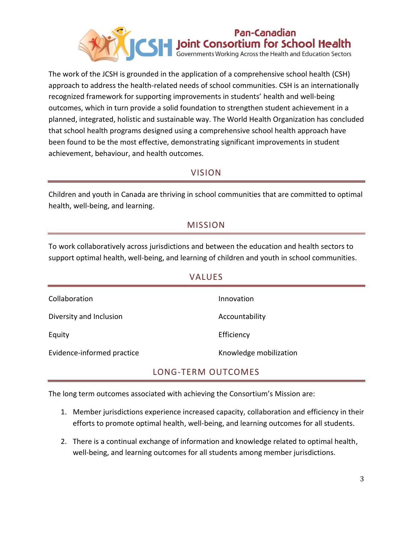

The work of the JCSH is grounded in the application of a comprehensive school health (CSH) approach to address the health-related needs of school communities. CSH is an internationally recognized framework for supporting improvements in students' health and well-being outcomes, which in turn provide a solid foundation to strengthen student achievement in a planned, integrated, holistic and sustainable way. The World Health Organization has concluded that school health programs designed using a comprehensive school health approach have been found to be the most effective, demonstrating significant improvements in student achievement, behaviour, and health outcomes.

#### VISION

Children and youth in Canada are thriving in school communities that are committed to optimal health, well-being, and learning.

#### MISSION

To work collaboratively across jurisdictions and between the education and health sectors to support optimal health, well-being, and learning of children and youth in school communities.

| <b>VALUES</b>              |                        |
|----------------------------|------------------------|
| Collaboration              | Innovation             |
| Diversity and Inclusion    | Accountability         |
| Equity                     | Efficiency             |
| Evidence-informed practice | Knowledge mobilization |

#### LONG-TERM OUTCOMES

The long term outcomes associated with achieving the Consortium's Mission are:

- 1. Member jurisdictions experience increased capacity, collaboration and efficiency in their efforts to promote optimal health, well-being, and learning outcomes for all students.
- 2. There is a continual exchange of information and knowledge related to optimal health, well-being, and learning outcomes for all students among member jurisdictions.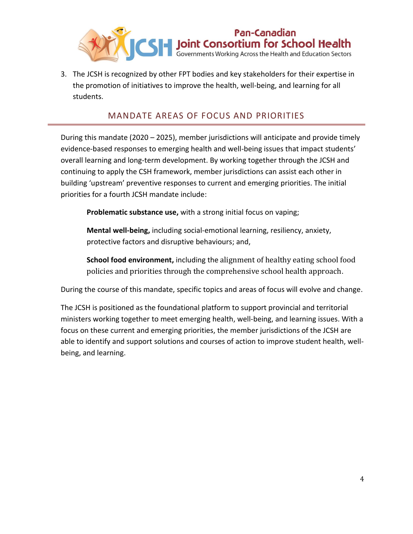

3. The JCSH is recognized by other FPT bodies and key stakeholders for their expertise in the promotion of initiatives to improve the health, well-being, and learning for all students.

#### MANDATE AREAS OF FOCUS AND PRIORITIES

During this mandate (2020 – 2025), member jurisdictions will anticipate and provide timely evidence-based responses to emerging health and well-being issues that impact students' overall learning and long-term development. By working together through the JCSH and continuing to apply the CSH framework, member jurisdictions can assist each other in building 'upstream' preventive responses to current and emerging priorities. The initial priorities for a fourth JCSH mandate include:

**Problematic substance use,** with a strong initial focus on vaping;

**Mental well-being,** including social-emotional learning, resiliency, anxiety, protective factors and disruptive behaviours; and,

**School food environment,** including the alignment of healthy eating school food policies and priorities through the comprehensive school health approach.

During the course of this mandate, specific topics and areas of focus will evolve and change.

The JCSH is positioned as the foundational platform to support provincial and territorial ministers working together to meet emerging health, well-being, and learning issues. With a focus on these current and emerging priorities, the member jurisdictions of the JCSH are able to identify and support solutions and courses of action to improve student health, wellbeing, and learning.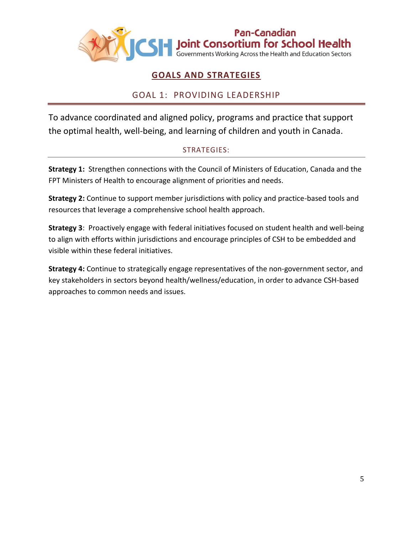

#### **GOALS AND STRATEGIES**

#### GOAL 1: PROVIDING LEADERSHIP

To advance coordinated and aligned policy, programs and practice that support the optimal health, well-being, and learning of children and youth in Canada.

#### STRATEGIES:

**Strategy 1:** Strengthen connections with the Council of Ministers of Education, Canada and the FPT Ministers of Health to encourage alignment of priorities and needs.

**Strategy 2:** Continue to support member jurisdictions with policy and practice-based tools and resources that leverage a comprehensive school health approach.

**Strategy 3**: Proactively engage with federal initiatives focused on student health and well-being to align with efforts within jurisdictions and encourage principles of CSH to be embedded and visible within these federal initiatives.

**Strategy 4:** Continue to strategically engage representatives of the non-government sector, and key stakeholders in sectors beyond health/wellness/education, in order to advance CSH-based approaches to common needs and issues.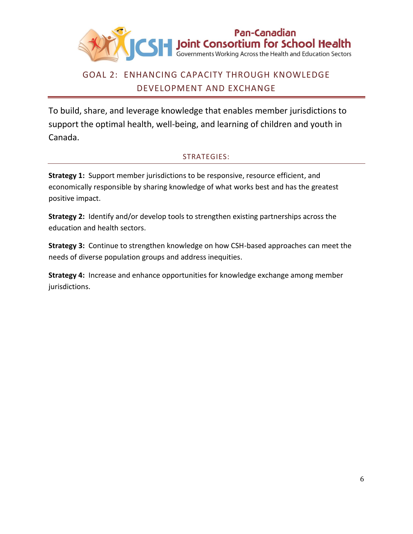

### GOAL 2: ENHANCING CAPACITY THROUGH KNOWLEDGE DEVELOPMENT AND EXCHANGE

To build, share, and leverage knowledge that enables member jurisdictions to support the optimal health, well-being, and learning of children and youth in Canada.

#### STRATEGIES:

**Strategy 1:** Support member jurisdictions to be responsive, resource efficient, and economically responsible by sharing knowledge of what works best and has the greatest positive impact.

**Strategy 2:** Identify and/or develop tools to strengthen existing partnerships across the education and health sectors.

**Strategy 3:** Continue to strengthen knowledge on how CSH-based approaches can meet the needs of diverse population groups and address inequities.

**Strategy 4:** Increase and enhance opportunities for knowledge exchange among member jurisdictions.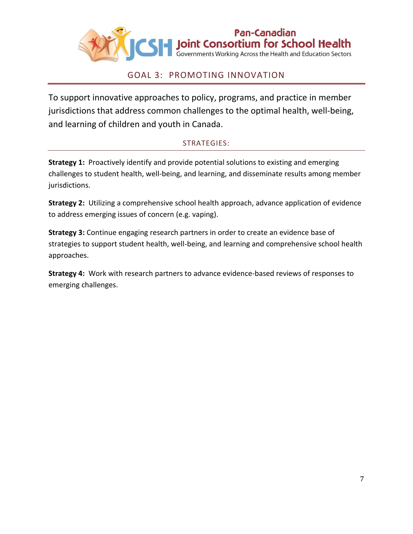

#### GOAL 3: PROMOTING INNOVATION

To support innovative approaches to policy, programs, and practice in member jurisdictions that address common challenges to the optimal health, well-being, and learning of children and youth in Canada.

#### STRATEGIES:

**Strategy 1:** Proactively identify and provide potential solutions to existing and emerging challenges to student health, well-being, and learning, and disseminate results among member jurisdictions.

**Strategy 2:** Utilizing a comprehensive school health approach, advance application of evidence to address emerging issues of concern (e.g. vaping).

**Strategy 3:** Continue engaging research partners in order to create an evidence base of strategies to support student health, well-being, and learning and comprehensive school health approaches.

**Strategy 4:** Work with research partners to advance evidence-based reviews of responses to emerging challenges.